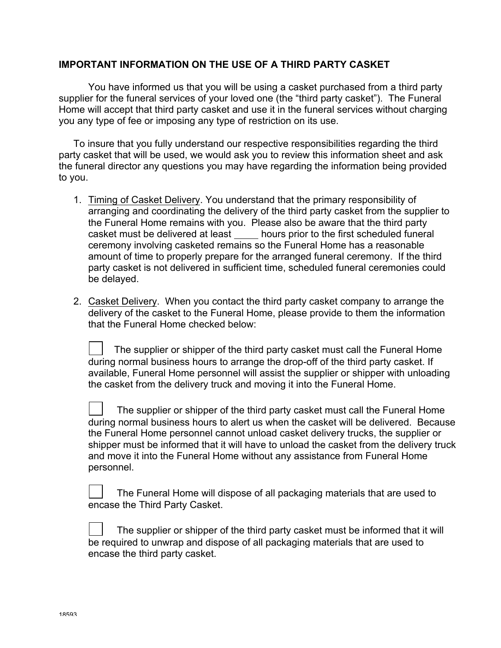## **IMPORTANT INFORMATION ON THE USE OF A THIRD PARTY CASKET**

You have informed us that you will be using a casket purchased from a third party supplier for the funeral services of your loved one (the "third party casket"). The Funeral Home will accept that third party casket and use it in the funeral services without charging you any type of fee or imposing any type of restriction on its use.

To insure that you fully understand our respective responsibilities regarding the third party casket that will be used, we would ask you to review this information sheet and ask the funeral director any questions you may have regarding the information being provided to you.

- 1. Timing of Casket Delivery. You understand that the primary responsibility of arranging and coordinating the delivery of the third party casket from the supplier to the Funeral Home remains with you. Please also be aware that the third party casket must be delivered at least hours prior to the first scheduled funeral ceremony involving casketed remains so the Funeral Home has a reasonable amount of time to properly prepare for the arranged funeral ceremony. If the third party casket is not delivered in sufficient time, scheduled funeral ceremonies could be delayed.
- 2. Casket Delivery. When you contact the third party casket company to arrange the delivery of the casket to the Funeral Home, please provide to them the information that the Funeral Home checked below:

 The supplier or shipper of the third party casket must call the Funeral Home during normal business hours to arrange the drop-off of the third party casket. If available, Funeral Home personnel will assist the supplier or shipper with unloading the casket from the delivery truck and moving it into the Funeral Home.

 The supplier or shipper of the third party casket must call the Funeral Home during normal business hours to alert us when the casket will be delivered. Because the Funeral Home personnel cannot unload casket delivery trucks, the supplier or shipper must be informed that it will have to unload the casket from the delivery truck and move it into the Funeral Home without any assistance from Funeral Home personnel.

 The Funeral Home will dispose of all packaging materials that are used to encase the Third Party Casket.

 The supplier or shipper of the third party casket must be informed that it will be required to unwrap and dispose of all packaging materials that are used to encase the third party casket.